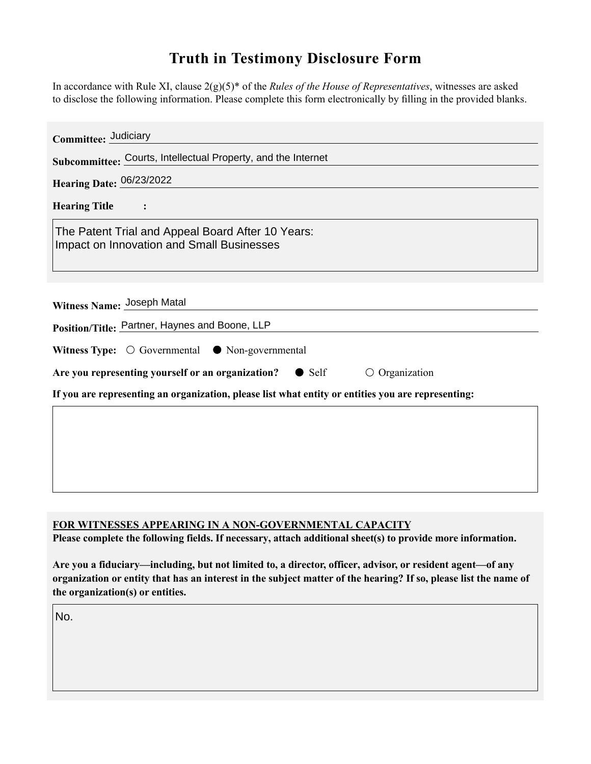## **Truth in Testimony Disclosure Form**

In accordance with Rule XI, clause 2(g)(5)\* of the *Rules of the House of Representatives*, witnesses are asked to disclose the following information. Please complete this form electronically by filling in the provided blanks.

| Committee: Judiciary                                                                                  |
|-------------------------------------------------------------------------------------------------------|
| Subcommittee: Courts, Intellectual Property, and the Internet                                         |
| Hearing Date: 06/23/2022                                                                              |
| <b>Hearing Title</b>                                                                                  |
| The Patent Trial and Appeal Board After 10 Years:<br><b>Impact on Innovation and Small Businesses</b> |
|                                                                                                       |
| Witness Name: Joseph Matal                                                                            |
| Position/Title: Partner, Haynes and Boone, LLP                                                        |
| Witness Type: $\bigcirc$ Governmental $\bullet$ Non-governmental                                      |
| Are you representing yourself or an organization?<br>$\bullet$ Self<br>$\circ$ Organization           |
| If you are representing an organization, please list what entity or entities you are representing:    |
|                                                                                                       |
|                                                                                                       |
|                                                                                                       |
|                                                                                                       |

## **FOR WITNESSES APPEARING IN A NON-GOVERNMENTAL CAPACITY**

**Please complete the following fields. If necessary, attach additional sheet(s) to provide more information.**

**Are you a fiduciary—including, but not limited to, a director, officer, advisor, or resident agent—of any organization or entity that has an interest in the subject matter of the hearing? If so, please list the name of the organization(s) or entities.**

No.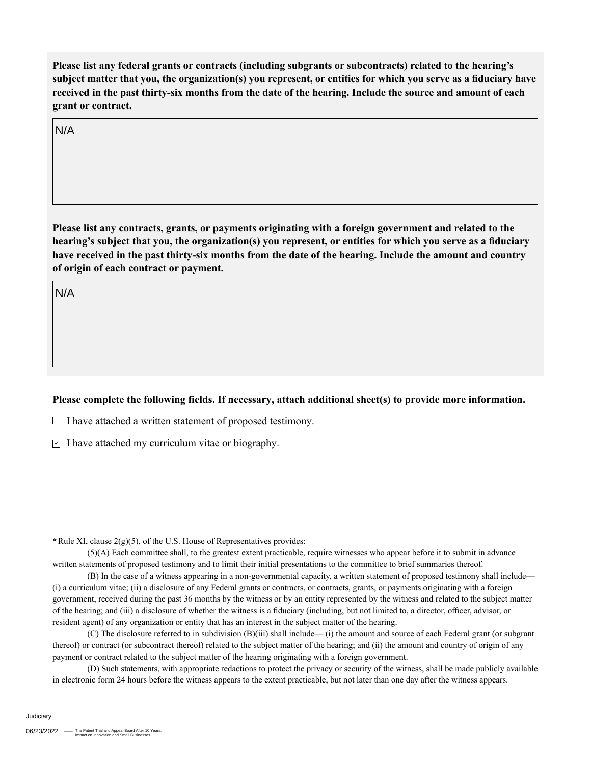**Please list any federal grants or contracts (including subgrants or subcontracts) related to the hearing's subject matter that you, the organization(s) you represent, or entities for which you serve as a fiduciary have received in the past thirty-six months from the date of the hearing. Include the source and amount of each grant or contract.** 

N/A

**Please list any contracts, grants, or payments originating with a foreign government and related to the hearing's subject that you, the organization(s) you represent, or entities for which you serve as a fiduciary have received in the past thirty-six months from the date of the hearing. Include the amount and country of origin of each contract or payment.** 

N/A

## **Please complete the following fields. If necessary, attach additional sheet(s) to provide more information.**

 $\Box$  I have attached a written statement of proposed testimony.

 $\subseteq$  I have attached my curriculum vitae or biography.

**\***Rule XI, clause 2(g)(5), of the U.S. House of Representatives provides:

(5)(A) Each committee shall, to the greatest extent practicable, require witnesses who appear before it to submit in advance written statements of proposed testimony and to limit their initial presentations to the committee to brief summaries thereof.

(B) In the case of a witness appearing in a non-governmental capacity, a written statement of proposed testimony shall include— (i) a curriculum vitae; (ii) a disclosure of any Federal grants or contracts, or contracts, grants, or payments originating with a foreign government, received during the past 36 months by the witness or by an entity represented by the witness and related to the subject matter of the hearing; and (iii) a disclosure of whether the witness is a fiduciary (including, but not limited to, a director, officer, advisor, or resident agent) of any organization or entity that has an interest in the subject matter of the hearing.

(C) The disclosure referred to in subdivision (B)(iii) shall include— (i) the amount and source of each Federal grant (or subgrant thereof) or contract (or subcontract thereof) related to the subject matter of the hearing; and (ii) the amount and country of origin of any payment or contract related to the subject matter of the hearing originating with a foreign government.

(D) Such statements, with appropriate redactions to protect the privacy or security of the witness, shall be made publicly available in electronic form 24 hours before the witness appears to the extent practicable, but not later than one day after the witness appears.

Judiciary